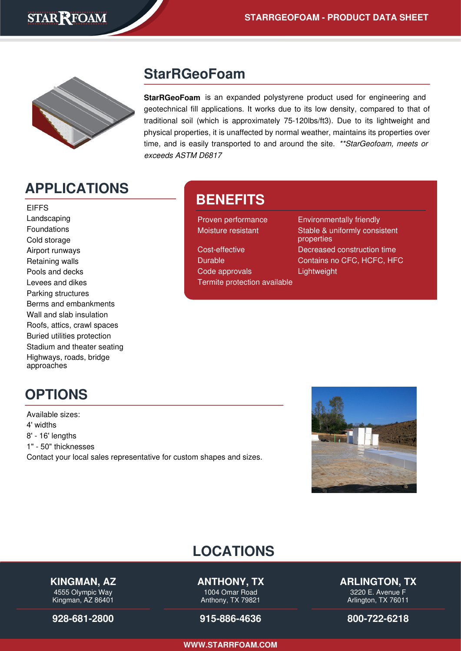

#### **StarRGeoFoam**

**StarRGeoFoam** is an expanded polystyrene product used for engineering and geotechnical fill applications. It works due to its low density, compared to that of traditional soil (which is approximately 75-120lbs/ft3). Due to its lightweight and physical properties, it is unaffected by normal weather, maintains its properties over time, and is easily transported to and around the site. \*\* Star Geofoam, meets or exceeds ASTM D6817

## **APPLICATIONS**

EIFFS Landscaping Foundations Cold storage Airport runways Retaining walls Pools and decks Levees and dikes Parking structures Berms and embankments Wall and slab insulation Roofs, attics, crawl spaces Buried utilities protection Stadium and theater seating Highways, roads, bridge approaches

## **BENEFITS**

Code approvals **Lightweight** Termite protection available

Proven performance Environmentally friendly Moisture resistant Stable & uniformly consistent properties Cost-effective Decreased construction time Durable Contains no CFC, HCFC, HFC

## **OPTIONS**

Available sizes: 4' widths 8' - 16' lengths 1" - 50" thicknesses Contact your local sales representative for custom shapes and sizes.



# **LOCATIONS**

#### **KINGMAN, AZ**

4555 Olympic Way Kingman, AZ 86401

**[928-681-2800](tel:928-681-2800)**

**ANTHONY, TX**

1004 Omar Road Anthony, TX 79821

**[915-886-4636](tel:915-886-4636)**

**ARLINGTON, TX**

3220 E. Avenue F Arlington, TX 76011

**[800-722-6218](tel:800-722-6218)**

**[WWW.STARRFOAM.COM](https://starrfoam.com/)**